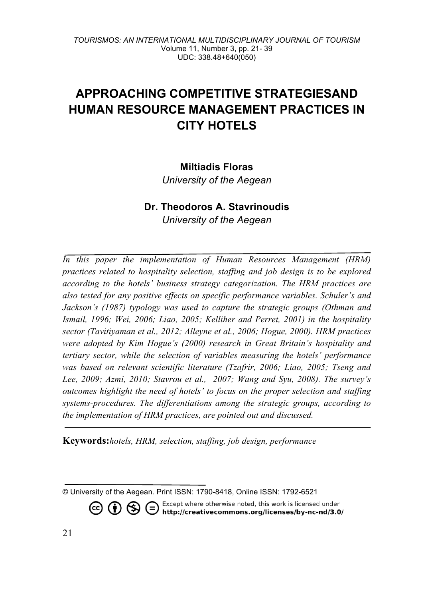# **APPROACHING COMPETITIVE STRATEGIESAND HUMAN RESOURCE MANAGEMENT PRACTICES IN CITY HOTELS**

### **Miltiadis Floras**

*University of the Aegean*

## **Dr. Theodoros A. Stavrinoudis** *University of the Aegean*

*In this paper the implementation of Human Resources Management (HRM) practices related to hospitality selection, staffing and job design is to be explored according to the hotels' business strategy categorization. The HRM practices are also tested for any positive effects on specific performance variables. Schuler's and Jackson's (1987) typology was used to capture the strategic groups (Othman and Ismail, 1996; Wei, 2006; Liao, 2005; Kelliher and Perret, 2001) in the hospitality sector (Tavitiyaman et al., 2012; Alleyne et al., 2006; Hogue, 2000). HRM practices were adopted by Kim Hogue's (2000) research in Great Britain's hospitality and tertiary sector, while the selection of variables measuring the hotels' performance was based on relevant scientific literature (Tzafrir, 2006; Liao, 2005; Tseng and Lee, 2009; Azmi, 2010; Stavrou et al., 2007; Wang and Syu, 2008). The survey's outcomes highlight the need of hotels' to focus on the proper selection and staffing systems-procedures. The differentiations among the strategic groups, according to the implementation of HRM practices, are pointed out and discussed.* 

**Keywords:***hotels, HRM, selection, staffing, job design, performance*

Except where otherwise noted, this work is licensed under  $\circledcirc$  (i)  $\circledcirc$ ∈ http://creativecommons.org/licenses/by-nc-nd/3.0/

<sup>©</sup> University of the Aegean. Print ISSN: 1790-8418, Online ISSN: 1792-6521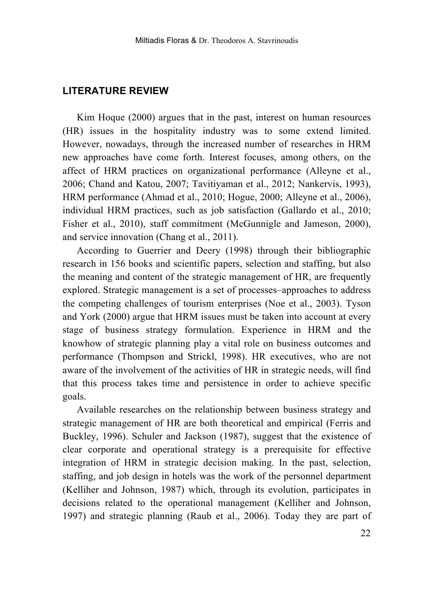### **LITERATURE REVIEW**

Kim Hoque (2000) argues that in the past, interest on human resources (HR) issues in the hospitality industry was to some extend limited. However, nowadays, through the increased number of researches in HRM new approaches have come forth. Interest focuses, among others, on the affect of HRM practices on organizational performance (Alleyne et al., 2006; Chand and Katou, 2007; Tavitiyaman et al., 2012; Nankervis, 1993), HRM performance (Ahmad et al., 2010; Hogue, 2000; Alleyne et al., 2006), individual HRM practices, such as job satisfaction (Gallardo et al., 2010; Fisher et al., 2010), staff commitment (McGunnigle and Jameson, 2000), and service innovation (Chang et al., 2011).

According to Guerrier and Deery (1998) through their bibliographic research in 156 books and scientific papers, selection and staffing, but also the meaning and content of the strategic management of HR, are frequently explored. Strategic management is a set of processes–approaches to address the competing challenges of tourism enterprises (Noe et al., 2003). Tyson and York (2000) argue that HRM issues must be taken into account at every stage of business strategy formulation. Experience in HRM and the knowhow of strategic planning play a vital role on business outcomes and performance (Thompson and Strickl, 1998). HR executives, who are not aware of the involvement of the activities of HR in strategic needs, will find that this process takes time and persistence in order to achieve specific goals.

Available researches on the relationship between business strategy and strategic management of HR are both theoretical and empirical (Ferris and Buckley, 1996). Schuler and Jackson (1987), suggest that the existence of clear corporate and operational strategy is a prerequisite for effective integration of HRM in strategic decision making. In the past, selection, staffing, and job design in hotels was the work of the personnel department (Kelliher and Johnson, 1987) which, through its evolution, participates in decisions related to the operational management (Kelliher and Johnson, 1997) and strategic planning (Raub et al., 2006). Today they are part of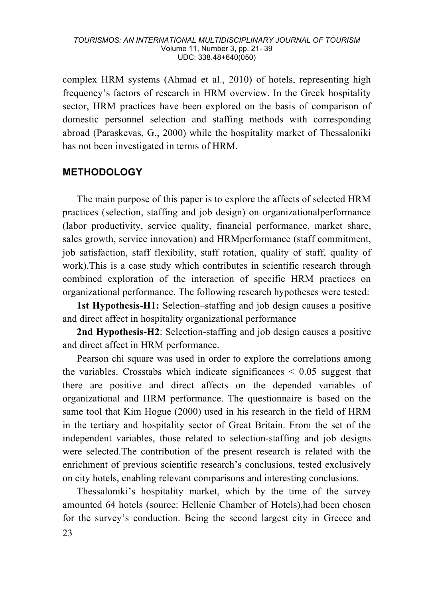#### *TOURISMOS: AN INTERNATIONAL MULTIDISCIPLINARY JOURNAL OF TOURISM* Volume 11, Number 3, pp. 21- 39 UDC: 338.48+640(050)

complex HRM systems (Ahmad et al., 2010) of hotels, representing high frequency's factors of research in HRM overview. In the Greek hospitality sector, HRM practices have been explored on the basis of comparison of domestic personnel selection and staffing methods with corresponding abroad (Paraskevas, G., 2000) while the hospitality market of Thessaloniki has not been investigated in terms of HRM.

### **METHODOLOGY**

The main purpose of this paper is to explore the affects of selected HRM practices (selection, staffing and job design) on organizationalperformance (labor productivity, service quality, financial performance, market share, sales growth, service innovation) and HRMperformance (staff commitment, job satisfaction, staff flexibility, staff rotation, quality of staff, quality of work).This is a case study which contributes in scientific research through combined exploration of the interaction of specific HRM practices on organizational performance. The following research hypotheses were tested:

**1st Hypothesis-Η1:** Selection–staffing and job design causes a positive and direct affect in hospitality organizational performance

**2nd Hypothesis-Η2**: Selection-staffing and job design causes a positive and direct affect in HRM performance.

Pearson chi square was used in order to explore the correlations among the variables. Crosstabs which indicate significances  $\leq 0.05$  suggest that there are positive and direct affects on the depended variables of organizational and HRM performance. The questionnaire is based on the same tool that Kim Hogue (2000) used in his research in the field of HRM in the tertiary and hospitality sector of Great Britain. From the set of the independent variables, those related to selection-staffing and job designs were selected.The contribution of the present research is related with the enrichment of previous scientific research's conclusions, tested exclusively on city hotels, enabling relevant comparisons and interesting conclusions.

23 Thessaloniki's hospitality market, which by the time of the survey amounted 64 hotels (source: Hellenic Chamber of Hotels),had been chosen for the survey's conduction. Being the second largest city in Greece and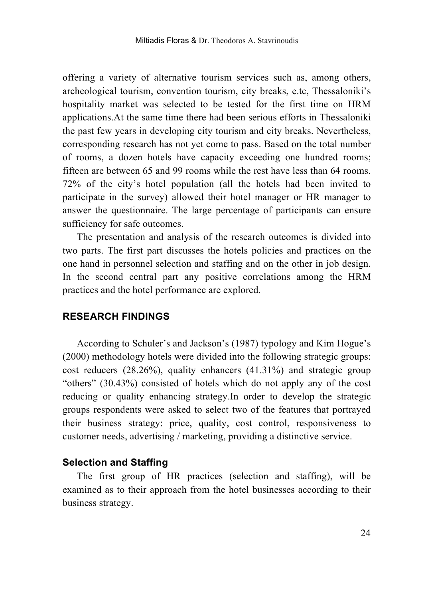offering a variety of alternative tourism services such as, among others, archeological tourism, convention tourism, city breaks, e.tc, Thessaloniki's hospitality market was selected to be tested for the first time on HRM applications.At the same time there had been serious efforts in Thessaloniki the past few years in developing city tourism and city breaks. Nevertheless, corresponding research has not yet come to pass. Based on the total number of rooms, a dozen hotels have capacity exceeding one hundred rooms; fifteen are between 65 and 99 rooms while the rest have less than 64 rooms. 72% of the city's hotel population (all the hotels had been invited to participate in the survey) allowed their hotel manager or HR manager to answer the questionnaire. The large percentage of participants can ensure sufficiency for safe outcomes.

The presentation and analysis of the research outcomes is divided into two parts. The first part discusses the hotels policies and practices on the one hand in personnel selection and staffing and on the other in job design. In the second central part any positive correlations among the HRM practices and the hotel performance are explored.

### **RESEARCH FINDINGS**

According to Schuler's and Jackson's (1987) typology and Kim Hogue's (2000) methodology hotels were divided into the following strategic groups: cost reducers  $(28.26\%)$ , quality enhancers  $(41.31\%)$  and strategic group "others" (30.43%) consisted of hotels which do not apply any of the cost reducing or quality enhancing strategy.In order to develop the strategic groups respondents were asked to select two of the features that portrayed their business strategy: price, quality, cost control, responsiveness to customer needs, advertising / marketing, providing a distinctive service.

#### **Selection and Staffing**

The first group of HR practices (selection and staffing), will be examined as to their approach from the hotel businesses according to their business strategy.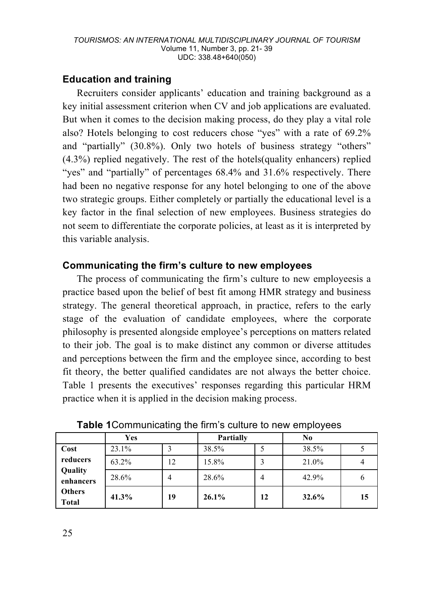## **Education and training**

Recruiters consider applicants' education and training background as a key initial assessment criterion when CV and job applications are evaluated. But when it comes to the decision making process, do they play a vital role also? Hotels belonging to cost reducers chose "yes" with a rate of 69.2% and "partially" (30.8%). Only two hotels of business strategy "others" (4.3%) replied negatively. The rest of the hotels(quality enhancers) replied "yes" and "partially" of percentages 68.4% and 31.6% respectively. There had been no negative response for any hotel belonging to one of the above two strategic groups. Either completely or partially the educational level is a key factor in the final selection of new employees. Business strategies do not seem to differentiate the corporate policies, at least as it is interpreted by this variable analysis.

## **Communicating the firm's culture to new employees**

The process of communicating the firm's culture to new employeesis a practice based upon the belief of best fit among HMR strategy and business strategy. The general theoretical approach, in practice, refers to the early stage of the evaluation of candidate employees, where the corporate philosophy is presented alongside employee's perceptions on matters related to their job. The goal is to make distinct any common or diverse attitudes and perceptions between the firm and the employee since, according to best fit theory, the better qualified candidates are not always the better choice. Table 1 presents the executives' responses regarding this particular HRM practice when it is applied in the decision making process.

|                               | Yes   |    | Partially |    | N0    |    |
|-------------------------------|-------|----|-----------|----|-------|----|
| Cost                          | 23.1% |    | 38.5%     |    | 38.5% |    |
| reducers                      | 63.2% | 12 | 15.8%     |    | 21.0% |    |
| Quality<br>enhancers          | 28.6% | 4  | 28.6%     | 4  | 42.9% | о  |
| <b>Others</b><br><b>Total</b> | 41.3% | 19 | 26.1%     | 12 | 32.6% | 15 |

**Table 1**Communicating the firm's culture to new employees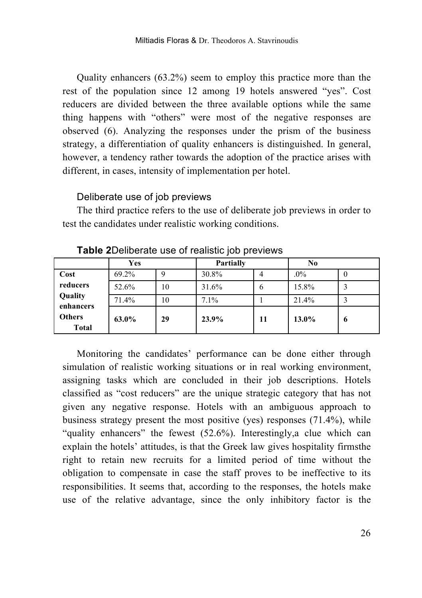Quality enhancers (63.2%) seem to employ this practice more than the rest of the population since 12 among 19 hotels answered "yes". Cost reducers are divided between the three available options while the same thing happens with "others" were most of the negative responses are observed (6). Analyzing the responses under the prism of the business strategy, a differentiation of quality enhancers is distinguished. In general, however, a tendency rather towards the adoption of the practice arises with different, in cases, intensity of implementation per hotel.

#### Deliberate use of job previews

The third practice refers to the use of deliberate job previews in order to test the candidates under realistic working conditions.

|                        | Yes   |    | Partially |              | No       |   |
|------------------------|-------|----|-----------|--------------|----------|---|
| Cost                   | 69.2% |    | 30.8%     | 4            | $.0\%$   | O |
| reducers               | 52.6% | 10 | 31.6%     | <sub>6</sub> | 15.8%    |   |
| Quality<br>enhancers   | 71.4% | 10 | 7.1%      |              | 21.4%    |   |
| Others<br><b>Total</b> | 63.0% | 29 | 23.9%     | 11           | $13.0\%$ | 6 |

**Table 2**Deliberate use of realistic job previews

Monitoring the candidates' performance can be done either through simulation of realistic working situations or in real working environment, assigning tasks which are concluded in their job descriptions. Hotels classified as "cost reducers" are the unique strategic category that has not given any negative response. Hotels with an ambiguous approach to business strategy present the most positive (yes) responses (71.4%), while "quality enhancers" the fewest (52.6%). Interestingly,a clue which can explain the hotels' attitudes, is that the Greek law gives hospitality firmsthe right to retain new recruits for a limited period of time without the obligation to compensate in case the staff proves to be ineffective to its responsibilities. It seems that, according to the responses, the hotels make use of the relative advantage, since the only inhibitory factor is the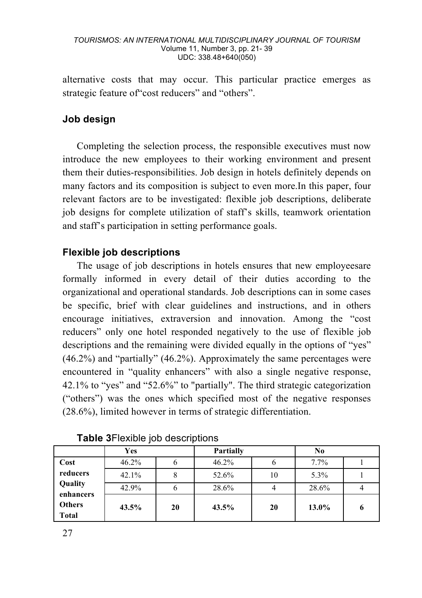alternative costs that may occur. This particular practice emerges as strategic feature of"cost reducers" and "others".

# **Job design**

Completing the selection process, the responsible executives must now introduce the new employees to their working environment and present them their duties-responsibilities. Job design in hotels definitely depends on many factors and its composition is subject to even more.In this paper, four relevant factors are to be investigated: flexible job descriptions, deliberate job designs for complete utilization of staff's skills, teamwork orientation and staff's participation in setting performance goals.

### **Flexible job descriptions**

The usage of job descriptions in hotels ensures that new employeesare formally informed in every detail of their duties according to the organizational and operational standards. Job descriptions can in some cases be specific, brief with clear guidelines and instructions, and in others encourage initiatives, extraversion and innovation. Among the "cost reducers" only one hotel responded negatively to the use of flexible job descriptions and the remaining were divided equally in the options of "yes" (46.2%) and "partially" (46.2%). Approximately the same percentages were encountered in "quality enhancers" with also a single negative response, 42.1% to "yes" and "52.6%" to "partially". The third strategic categorization ("others") was the ones which specified most of the negative responses (28.6%), limited however in terms of strategic differentiation.

|                        | Yes   |    | Partially |    | N <sub>0</sub> |   |
|------------------------|-------|----|-----------|----|----------------|---|
| Cost                   | 46.2% |    | 46.2%     | O  | 7.7%           |   |
| reducers               | 42.1% |    | 52.6%     | 10 | 5.3%           |   |
| Quality<br>enhancers   | 42.9% |    | 28.6%     | 4  | 28.6%          |   |
| <b>Others</b><br>Total | 43.5% | 20 | 43.5%     | 20 | 13.0%          | 6 |

### **Table 3**Flexible job descriptions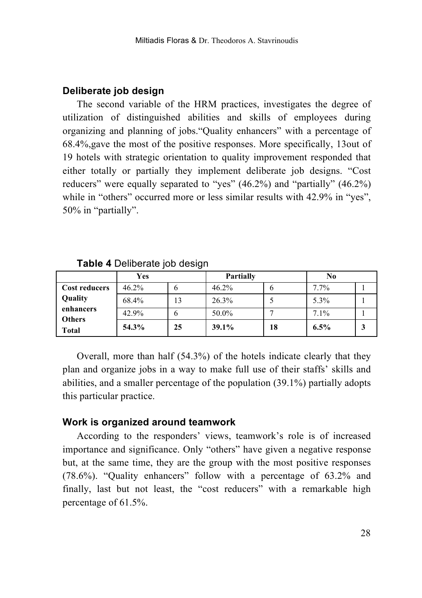### **Deliberate job design**

The second variable of the HRM practices, investigates the degree of utilization of distinguished abilities and skills of employees during organizing and planning of jobs."Quality enhancers" with a percentage of 68.4%,gave the most of the positive responses. More specifically, 13out of 19 hotels with strategic orientation to quality improvement responded that either totally or partially they implement deliberate job designs. "Cost reducers" were equally separated to "yes" (46.2%) and "partially" (46.2%) while in "others" occurred more or less similar results with 42.9% in "yes", 50% in "partially".

|                            | Yes   |    | Partially |    | No      |  |
|----------------------------|-------|----|-----------|----|---------|--|
| <b>Cost reducers</b>       | 46.2% |    | 46.2%     | O  | 7.7%    |  |
| Quality                    | 68.4% | 13 | 26.3%     |    | 5.3%    |  |
| enhancers<br><b>Others</b> | 42.9% |    | 50.0%     |    | 7.1%    |  |
| Total                      | 54.3% | 25 | 39.1%     | 18 | $6.5\%$ |  |

**Table 4** Deliberate job design

Overall, more than half (54.3%) of the hotels indicate clearly that they plan and organize jobs in a way to make full use of their staffs' skills and abilities, and a smaller percentage of the population (39.1%) partially adopts this particular practice.

### **Work is organized around teamwork**

According to the responders' views, teamwork's role is of increased importance and significance. Only "others" have given a negative response but, at the same time, they are the group with the most positive responses (78.6%). "Quality enhancers" follow with a percentage of 63.2% and finally, last but not least, the "cost reducers" with a remarkable high percentage of 61.5%.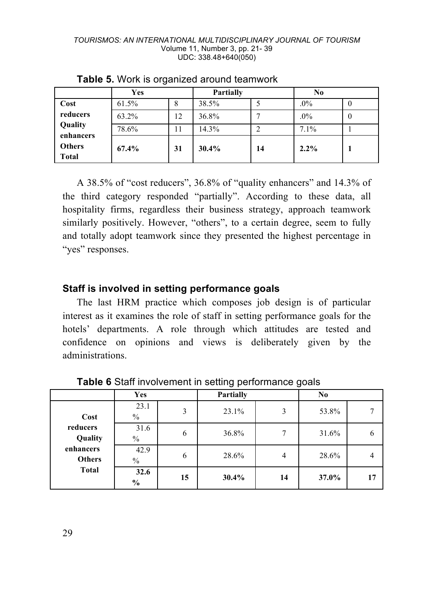|                               | Yes   |    | Partially |    | $\bf No$ |                  |
|-------------------------------|-------|----|-----------|----|----------|------------------|
| Cost                          | 61.5% | 8  | 38.5%     |    | $.0\%$   | 0                |
| reducers                      | 63.2% | 12 | 36.8%     |    | .0%      | $\boldsymbol{0}$ |
| Quality<br>enhancers          | 78.6% | 11 | 14.3%     |    | 7.1%     |                  |
| <b>Others</b><br><b>Total</b> | 67.4% | 31 | 30.4%     | 14 | 2.2%     |                  |

**Table 5.** Work is organized around teamwork

A 38.5% of "cost reducers", 36.8% of "quality enhancers" and 14.3% of the third category responded "partially". According to these data, all hospitality firms, regardless their business strategy, approach teamwork similarly positively. However, "others", to a certain degree, seem to fully and totally adopt teamwork since they presented the highest percentage in "yes" responses.

### **Staff is involved in setting performance goals**

The last HRM practice which composes job design is of particular interest as it examines the role of staff in setting performance goals for the hotels' departments. A role through which attitudes are tested and confidence on opinions and views is deliberately given by the administrations.

|                            | Yes                   |    | Partially |    | No    |    |
|----------------------------|-----------------------|----|-----------|----|-------|----|
| Cost                       | 23.1<br>$\%$          | 3  | 23.1%     | 3  | 53.8% |    |
| reducers<br>Quality        | 31.6<br>$\frac{0}{0}$ | 6  | 36.8%     |    | 31.6% | O  |
| enhancers<br><b>Others</b> | 42.9<br>$\%$          | 6  | 28.6%     | 4  | 28.6% |    |
| <b>Total</b>               | 32.6<br>$\%$          | 15 | 30.4%     | 14 | 37.0% | 17 |

**Table 6** Staff involvement in setting performance goals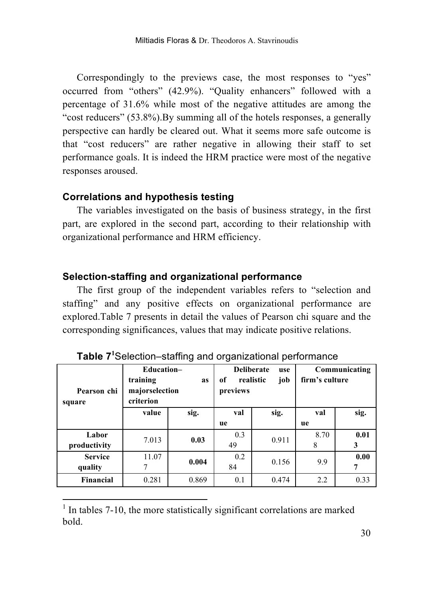Correspondingly to the previews case, the most responses to "yes" occurred from "others" (42.9%). "Quality enhancers" followed with a percentage of 31.6% while most of the negative attitudes are among the "cost reducers" (53.8%).By summing all of the hotels responses, a generally perspective can hardly be cleared out. What it seems more safe outcome is that "cost reducers" are rather negative in allowing their staff to set performance goals. It is indeed the HRM practice were most of the negative responses aroused.

### **Correlations and hypothesis testing**

The variables investigated on the basis of business strategy, in the first part, are explored in the second part, according to their relationship with organizational performance and HRM efficiency.

#### **Selection-staffing and organizational performance**

The first group of the independent variables refers to "selection and staffing" and any positive effects on organizational performance are explored.Table 7 presents in detail the values of Pearson chi square and the corresponding significances, values that may indicate positive relations.

| Pearson chi<br>square | Education-<br>training<br><b>as</b><br>majorselection<br>criterion |       | <b>Deliberate</b><br>of<br>previews | use<br>realistic<br>job | Communicating<br>firm's culture |      |  |
|-----------------------|--------------------------------------------------------------------|-------|-------------------------------------|-------------------------|---------------------------------|------|--|
|                       | value                                                              | sig.  | val                                 | sig.                    | val                             | sig. |  |
|                       |                                                                    |       | ue                                  |                         | ue                              |      |  |
| Labor                 | 7.013                                                              | 0.03  | 0.3                                 | 0.911                   | 8.70                            | 0.01 |  |
| productivity          |                                                                    |       | 49                                  |                         | 8                               | 3    |  |
| <b>Service</b>        | 11.07                                                              | 0.004 | 0.2                                 | 0.156                   | 9.9                             | 0.00 |  |
| quality               | 7                                                                  |       | 84                                  |                         |                                 | 7    |  |
| Financial             | 0.281                                                              | 0.869 | 0.1                                 | 0.474                   | 2.2                             | 0.33 |  |

**Table 7<sup>1</sup>** Selection–staffing and organizational performance

 <sup>1</sup> In tables 7-10, the more statistically significant correlations are marked bold.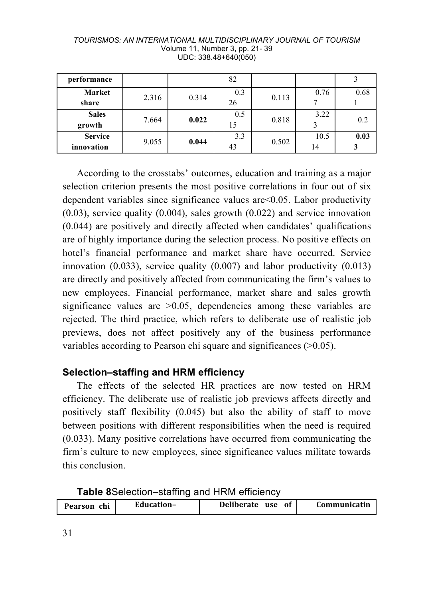| performance                  |       |       | 82        |       |            |      |
|------------------------------|-------|-------|-----------|-------|------------|------|
| Market<br>share              | 2.316 | 0.314 | 0.3<br>26 | 0.113 | 0.76       | 0.68 |
| <b>Sales</b><br>growth       | 7.664 | 0.022 | 0.5<br>15 | 0.818 | 3.22       | 0.2  |
| <b>Service</b><br>innovation | 9.055 | 0.044 | 3.3<br>43 | 0.502 | 10.5<br>14 | 0.03 |

*TOURISMOS: AN INTERNATIONAL MULTIDISCIPLINARY JOURNAL OF TOURISM* Volume 11, Number 3, pp. 21- 39 UDC: 338.48+640(050)

According to the crosstabs' outcomes, education and training as a major selection criterion presents the most positive correlations in four out of six dependent variables since significance values are<0.05. Labor productivity (0.03), service quality (0.004), sales growth (0.022) and service innovation (0.044) are positively and directly affected when candidates' qualifications are of highly importance during the selection process. No positive effects on hotel's financial performance and market share have occurred. Service innovation  $(0.033)$ , service quality  $(0.007)$  and labor productivity  $(0.013)$ are directly and positively affected from communicating the firm's values to new employees. Financial performance, market share and sales growth significance values are  $>0.05$ , dependencies among these variables are rejected. The third practice, which refers to deliberate use of realistic job previews, does not affect positively any of the business performance variables according to Pearson chi square and significances (>0.05).

### **Selection–staffing and HRM efficiency**

The effects of the selected HR practices are now tested on HRM efficiency. The deliberate use of realistic job previews affects directly and positively staff flexibility (0.045) but also the ability of staff to move between positions with different responsibilities when the need is required (0.033). Many positive correlations have occurred from communicating the firm's culture to new employees, since significance values militate towards this conclusion.

|  |  | Table 8Selection-staffing and HRM efficiency |  |  |  |  |  |
|--|--|----------------------------------------------|--|--|--|--|--|
|--|--|----------------------------------------------|--|--|--|--|--|

| chi<br>Pearson | Education- | Deliberate use | Communicatin |
|----------------|------------|----------------|--------------|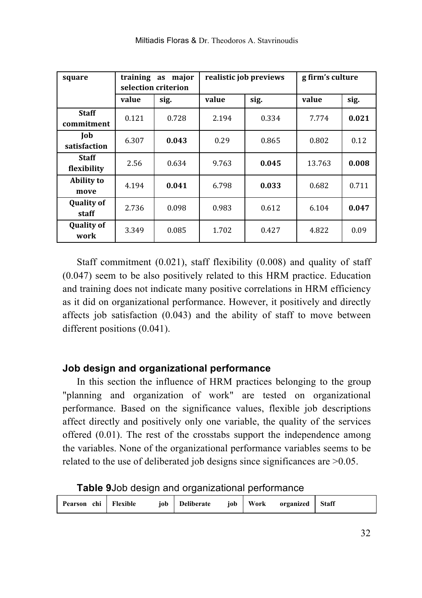| square                      |               | training<br>major<br>as<br>selection criterion |       | realistic job previews | g firm's culture |       |  |
|-----------------------------|---------------|------------------------------------------------|-------|------------------------|------------------|-------|--|
|                             | value<br>sig. |                                                | value | sig.                   | value            | sig.  |  |
| <b>Staff</b><br>commitment  | 0.121         | 0.728                                          | 2.194 | 0.334                  | 7.774            | 0.021 |  |
| Job<br>satisfaction         | 6.307         | 0.043                                          | 0.29  | 0.865                  | 0.802            | 0.12  |  |
| <b>Staff</b><br>flexibility | 2.56          | 0.634                                          | 9.763 | 0.045                  | 13.763           | 0.008 |  |
| Ability to<br>move          | 4.194         | 0.041                                          | 6.798 | 0.033                  | 0.682            | 0.711 |  |
| <b>Quality of</b><br>staff  | 2.736         | 0.098                                          | 0.983 | 0.612                  | 6.104            | 0.047 |  |
| <b>Quality of</b><br>work   | 3.349         | 0.085                                          | 1.702 | 0.427                  | 4.822            | 0.09  |  |

Staff commitment (0.021), staff flexibility (0.008) and quality of staff (0.047) seem to be also positively related to this HRM practice. Education and training does not indicate many positive correlations in HRM efficiency as it did on organizational performance. However, it positively and directly affects job satisfaction (0.043) and the ability of staff to move between different positions (0.041).

### **Job design and organizational performance**

In this section the influence of HRM practices belonging to the group "planning and organization of work" are tested on organizational performance. Based on the significance values, flexible job descriptions affect directly and positively only one variable, the quality of the services offered (0.01). The rest of the crosstabs support the independence among the variables. None of the organizational performance variables seems to be related to the use of deliberated job designs since significances are >0.05.

| Pearson chi Flexible | iob Deliberate | job Work | organized Staff |  |
|----------------------|----------------|----------|-----------------|--|

**Table 9**Job design and organizational performance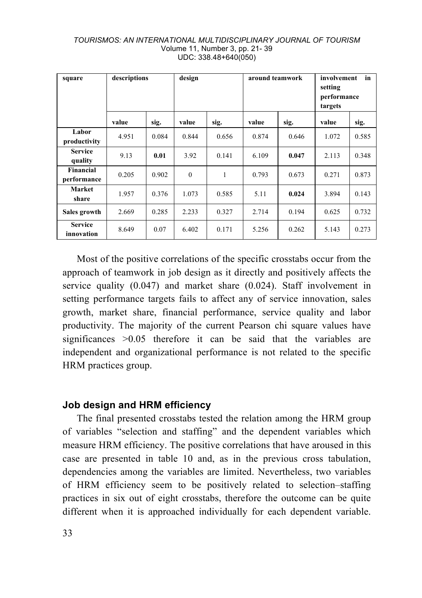| square                       | descriptions |       | design   |       | around teamwork |       | involvement<br>in<br>setting<br>performance<br>targets |       |
|------------------------------|--------------|-------|----------|-------|-----------------|-------|--------------------------------------------------------|-------|
|                              | value        | sig.  | value    | sig.  | value           | sig.  | value                                                  | sig.  |
| Labor<br>productivity        | 4.951        | 0.084 | 0.844    | 0.656 | 0.874           | 0.646 | 1.072                                                  | 0.585 |
| <b>Service</b><br>quality    | 9.13         | 0.01  | 3.92     | 0.141 | 6.109           | 0.047 | 2.113                                                  | 0.348 |
| Financial<br>performance     | 0.205        | 0.902 | $\theta$ | 1     | 0.793           | 0.673 | 0.271                                                  | 0.873 |
| <b>Market</b><br>share       | 1.957        | 0.376 | 1.073    | 0.585 | 5.11            | 0.024 | 3.894                                                  | 0.143 |
| Sales growth                 | 2.669        | 0.285 | 2.233    | 0.327 | 2.714           | 0.194 | 0.625                                                  | 0.732 |
| <b>Service</b><br>innovation | 8.649        | 0.07  | 6.402    | 0.171 | 5.256           | 0.262 | 5.143                                                  | 0.273 |

#### *TOURISMOS: AN INTERNATIONAL MULTIDISCIPLINARY JOURNAL OF TOURISM* Volume 11, Number 3, pp. 21- 39 UDC: 338.48+640(050)

Most of the positive correlations of the specific crosstabs occur from the approach of teamwork in job design as it directly and positively affects the service quality (0.047) and market share (0.024). Staff involvement in setting performance targets fails to affect any of service innovation, sales growth, market share, financial performance, service quality and labor productivity. The majority of the current Pearson chi square values have significances > 0.05 therefore it can be said that the variables are independent and organizational performance is not related to the specific HRM practices group.

### **Job design and HRM efficiency**

The final presented crosstabs tested the relation among the HRM group of variables "selection and staffing" and the dependent variables which measure HRM efficiency. The positive correlations that have aroused in this case are presented in table 10 and, as in the previous cross tabulation, dependencies among the variables are limited. Nevertheless, two variables of HRM efficiency seem to be positively related to selection–staffing practices in six out of eight crosstabs, therefore the outcome can be quite different when it is approached individually for each dependent variable.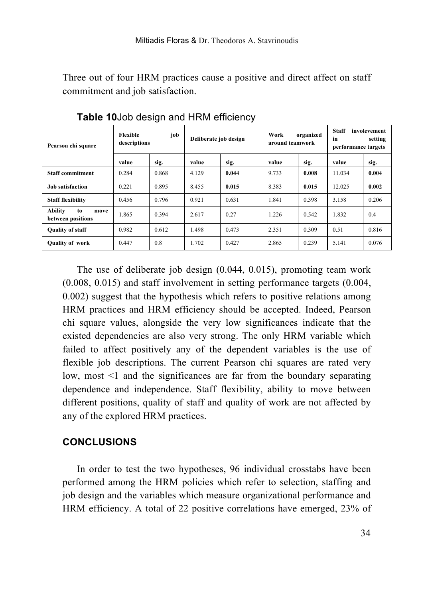Three out of four HRM practices cause a positive and direct affect on staff commitment and job satisfaction.

| Pearson chi square                                | Flexible<br>job<br>descriptions |       | Deliberate job design |       | Work<br>organized<br>around teamwork |       | <b>Staff</b><br>involevement<br>in<br>setting<br>performance targets |       |
|---------------------------------------------------|---------------------------------|-------|-----------------------|-------|--------------------------------------|-------|----------------------------------------------------------------------|-------|
|                                                   | value                           | sig.  | value                 | sig.  | value                                | sig.  | value                                                                | sig.  |
| <b>Staff commitment</b>                           | 0.284                           | 0.868 | 4.129                 | 0.044 | 9.733                                | 0.008 | 11.034                                                               | 0.004 |
| <b>Job</b> satisfaction                           | 0.221                           | 0.895 | 8.455                 | 0.015 | 8.383                                | 0.015 | 12.025                                                               | 0.002 |
| <b>Staff flexibility</b>                          | 0.456                           | 0.796 | 0.921                 | 0.631 | 1.841                                | 0.398 | 3.158                                                                | 0.206 |
| <b>Ability</b><br>to<br>move<br>between positions | 1.865                           | 0.394 | 2.617                 | 0.27  | 1.226                                | 0.542 | 1.832                                                                | 0.4   |
| <b>Quality of staff</b>                           | 0.982                           | 0.612 | 1.498                 | 0.473 | 2.351                                | 0.309 | 0.51                                                                 | 0.816 |
| <b>Quality of work</b>                            | 0.447                           | 0.8   | 1.702                 | 0.427 | 2.865                                | 0.239 | 5.141                                                                | 0.076 |

**Table 10**Job design and HRM efficiency

The use of deliberate job design (0.044, 0.015), promoting team work (0.008, 0.015) and staff involvement in setting performance targets (0.004, 0.002) suggest that the hypothesis which refers to positive relations among HRM practices and HRM efficiency should be accepted. Indeed, Pearson chi square values, alongside the very low significances indicate that the existed dependencies are also very strong. The only HRM variable which failed to affect positively any of the dependent variables is the use of flexible job descriptions. The current Pearson chi squares are rated very low, most <1 and the significances are far from the boundary separating dependence and independence. Staff flexibility, ability to move between different positions, quality of staff and quality of work are not affected by any of the explored HRM practices.

### **CONCLUSIONS**

In order to test the two hypotheses, 96 individual crosstabs have been performed among the HRM policies which refer to selection, staffing and job design and the variables which measure organizational performance and HRM efficiency. A total of 22 positive correlations have emerged, 23% of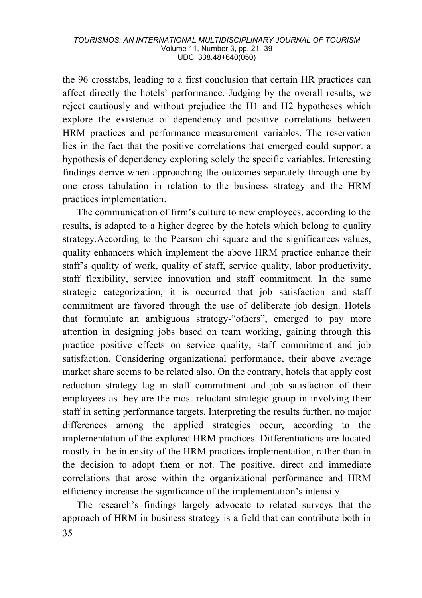the 96 crosstabs, leading to a first conclusion that certain HR practices can affect directly the hotels' performance. Judging by the overall results, we reject cautiously and without prejudice the H1 and H2 hypotheses which explore the existence of dependency and positive correlations between HRM practices and performance measurement variables. The reservation lies in the fact that the positive correlations that emerged could support a hypothesis of dependency exploring solely the specific variables. Interesting findings derive when approaching the outcomes separately through one by one cross tabulation in relation to the business strategy and the HRM practices implementation.

The communication of firm's culture to new employees, according to the results, is adapted to a higher degree by the hotels which belong to quality strategy.According to the Pearson chi square and the significances values, quality enhancers which implement the above HRM practice enhance their staff's quality of work, quality of staff, service quality, labor productivity, staff flexibility, service innovation and staff commitment. In the same strategic categorization, it is occurred that job satisfaction and staff commitment are favored through the use of deliberate job design. Hotels that formulate an ambiguous strategy-"others", emerged to pay more attention in designing jobs based on team working, gaining through this practice positive effects on service quality, staff commitment and job satisfaction. Considering organizational performance, their above average market share seems to be related also. On the contrary, hotels that apply cost reduction strategy lag in staff commitment and job satisfaction of their employees as they are the most reluctant strategic group in involving their staff in setting performance targets. Interpreting the results further, no major differences among the applied strategies occur, according to the implementation of the explored HRM practices. Differentiations are located mostly in the intensity of the HRM practices implementation, rather than in the decision to adopt them or not. The positive, direct and immediate correlations that arose within the organizational performance and HRM efficiency increase the significance of the implementation's intensity.

35 The research's findings largely advocate to related surveys that the approach of HRM in business strategy is a field that can contribute both in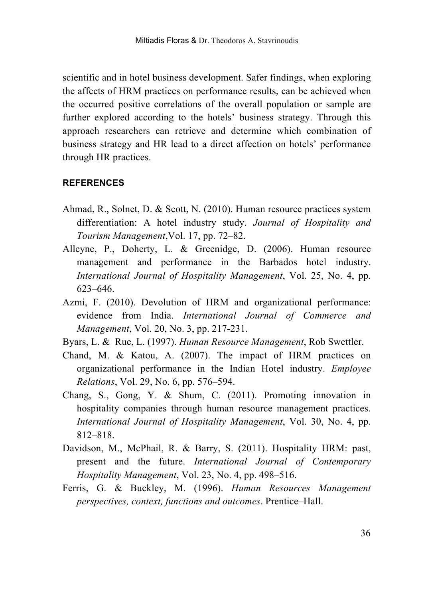scientific and in hotel business development. Safer findings, when exploring the affects of HRM practices on performance results, can be achieved when the occurred positive correlations of the overall population or sample are further explored according to the hotels' business strategy. Through this approach researchers can retrieve and determine which combination of business strategy and HR lead to a direct affection on hotels' performance through HR practices.

#### **REFERENCES**

- Ahmad, R., Solnet, D. & Scott, N. (2010). Human resource practices system differentiation: A hotel industry study. *Journal of Hospitality and Tourism Management*,Vol. 17, pp. 72–82.
- Alleyne, P., Doherty, L. & Greenidge, D. (2006). Human resource management and performance in the Barbados hotel industry. *International Journal of Hospitality Management*, Vol. 25, No. 4, pp. 623–646.
- Azmi, F. (2010). Devolution of HRM and organizational performance: evidence from India. *International Journal of Commerce and Management*, Vol. 20, No. 3, pp. 217-231.
- Byars, L. & Rue, L. (1997). *Human Resource Management*, Rob Swettler.
- Chand, M. & Katou, A. (2007). The impact of HRM practices on organizational performance in the Indian Hotel industry. *Employee Relations*, Vol. 29, No. 6, pp. 576–594.
- Chang, S., Gong, Y. & Shum, C. (2011). Promoting innovation in hospitality companies through human resource management practices. *International Journal of Hospitality Management*, Vol. 30, No. 4, pp. 812–818.
- Davidson, M., McPhail, R. & Barry, S. (2011). Hospitality HRM: past, present and the future. *International Journal of Contemporary Hospitality Management*, Vol. 23, No. 4, pp. 498–516.
- Ferris, G. & Buckley, M. (1996). *Human Resources Management perspectives, context, functions and outcomes*. Prentice–Hall.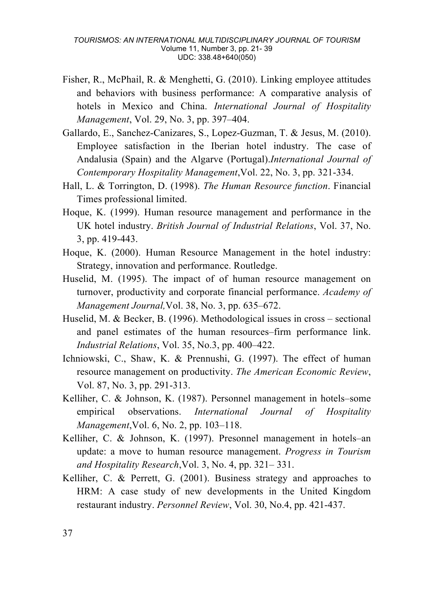- Fisher, R., McPhail, R. & Menghetti, G. (2010). Linking employee attitudes and behaviors with business performance: A comparative analysis of hotels in Mexico and China. *International Journal of Hospitality Management*, Vol. 29, No. 3, pp. 397–404.
- Gallardo, E., Sanchez-Canizares, S., Lopez-Guzman, T. & Jesus, M. (2010). Employee satisfaction in the Iberian hotel industry. The case of Andalusia (Spain) and the Algarve (Portugal).*International Journal of Contemporary Hospitality Management*,Vol. 22, No. 3, pp. 321-334.
- Hall, L. & Torrington, D. (1998). *The Human Resource function*. Financial Times professional limited.
- Hoque, K. (1999). Human resource management and performance in the UK hotel industry. *British Journal of Industrial Relations*, Vol. 37, No. 3, pp. 419-443.
- Hoque, K. (2000). Human Resource Management in the hotel industry: Strategy, innovation and performance. Routledge.
- Huselid, M. (1995). The impact of of human resource management on turnover, productivity and corporate financial performance. *Academy of Management Journal,*Vol. 38, No. 3, pp. 635–672.
- Huselid, M. & Becker, B. (1996). Methodological issues in cross sectional and panel estimates of the human resources–firm performance link. *Industrial Relations*, Vol. 35, No.3, pp. 400–422.
- Ichniowski, C., Shaw, K. & Prennushi, G. (1997). The effect of human resource management on productivity. *The American Economic Review*, Vol. 87, No. 3, pp. 291-313.
- Kelliher, C. & Johnson, K. (1987). Personnel management in hotels–some empirical observations. *International Journal of Hospitality Management*,Vol. 6, No. 2, pp. 103–118.
- Kelliher, C. & Johnson, K. (1997). Presonnel management in hotels–an update: a move to human resource management. *Progress in Tourism and Hospitality Research*,Vol. 3, No. 4, pp. 321– 331.
- Kelliher, C. & Perrett, G. (2001). Business strategy and approaches to HRM: A case study of new developments in the United Kingdom restaurant industry. *Personnel Review*, Vol. 30, No.4, pp. 421-437.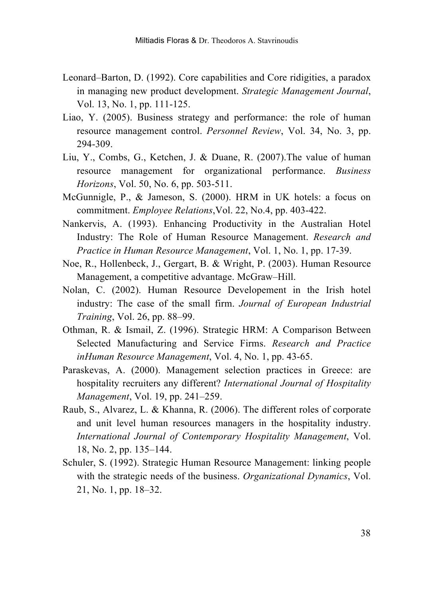- Leonard–Barton, D. (1992). Core capabilities and Core ridigities, a paradox in managing new product development. *Strategic Management Journal*, Vol. 13, No. 1, pp. 111-125.
- Liao, Y. (2005). Business strategy and performance: the role of human resource management control. *Personnel Review*, Vol. 34, No. 3, pp. 294-309.
- Liu, Y., Combs, G., Ketchen, J. & Duane, R. (2007).The value of human resource management for organizational performance. *Business Horizons*, Vol. 50, No. 6, pp. 503-511.
- McGunnigle, P., & Jameson, S. (2000). HRM in UK hotels: a focus on commitment. *Employee Relations*,Vol. 22, No.4, pp. 403-422.
- Nankervis, A. (1993). Enhancing Productivity in the Australian Hotel Industry: The Role of Human Resource Management. *Research and Practice in Human Resource Management*, Vol. 1, No. 1, pp. 17-39.
- Noe, R., Hollenbeck, J., Gergart, B. & Wright, P. (2003). Human Resource Management, a competitive advantage. McGraw–Hill.
- Nolan, C. (2002). Human Resource Developement in the Irish hotel industry: The case of the small firm. *Journal of European Industrial Training*, Vol. 26, pp. 88–99.
- Othman, R. & Ismail, Z. (1996). Strategic HRM: A Comparison Between Selected Manufacturing and Service Firms. *Research and Practice inHuman Resource Management*, Vol. 4, No. 1, pp. 43-65.
- Paraskevas, A. (2000). Management selection practices in Greece: are hospitality recruiters any different? *International Journal of Hospitality Management*, Vol. 19, pp. 241–259.
- Raub, S., Alvarez, L. & Khanna, R. (2006). The different roles of corporate and unit level human resources managers in the hospitality industry. *International Journal of Contemporary Hospitality Management*, Vol. 18, No. 2, pp. 135–144.
- Schuler, S. (1992). Strategic Human Resource Management: linking people with the strategic needs of the business. *Organizational Dynamics*, Vol. 21, No. 1, pp. 18–32.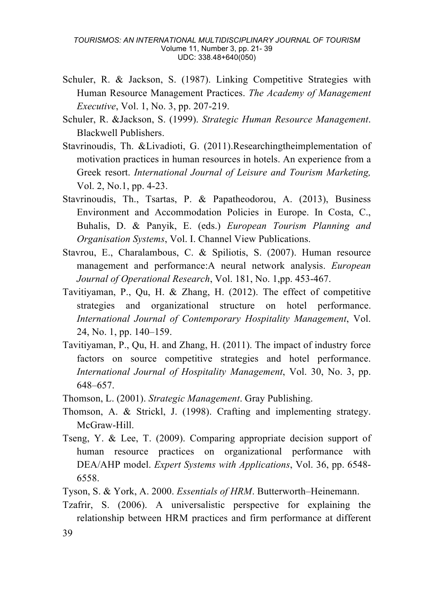- Schuler, R. & Jackson, S. (1987). Linking Competitive Strategies with Human Resource Management Practices. *The Academy of Management Executive*, Vol. 1, No. 3, pp. 207-219.
- Schuler, R. &Jackson, S. (1999). *Strategic Human Resource Management*. Blackwell Publishers.
- Stavrinoudis, Th. &Livadioti, G. (2011).Researchingtheimplementation of motivation practices in human resources in hotels. An experience from a Greek resort. *International Journal of Leisure and Tourism Marketing,*  Vol. 2, No.1, pp. 4-23.
- Stavrinoudis, Th., Tsartas, P. & Papatheodorou, A. (2013), Business Environment and Accommodation Policies in Europe. In Costa, C., Buhalis, D. & Panyik, E. (eds.) *European Tourism Planning and Organisation Systems*, Vol. I. Channel View Publications.
- Stavrou, E., Charalambous, C. & Spiliotis, S. (2007). Human resource management and performance:A neural network analysis. *European Journal of Operational Research*, Vol. 181, No. 1,pp. 453-467.
- Tavitiyaman, P., Qu, H. & Zhang, H. (2012). The effect of competitive strategies and organizational structure on hotel performance. *International Journal of Contemporary Hospitality Management*, Vol. 24, No. 1, pp. 140–159.
- Tavitiyaman, P., Qu, H. and Zhang, H. (2011). The impact of industry force factors on source competitive strategies and hotel performance. *International Journal of Hospitality Management*, Vol. 30, No. 3, pp. 648–657.
- Thomson, L. (2001). *Strategic Management*. Gray Publishing.
- Thomson, A. & Strickl, J. (1998). Crafting and implementing strategy. McGraw-Hill.
- Tseng, Y. & Lee, T. (2009). Comparing appropriate decision support of human resource practices on organizational performance with DEA/AHP model. *Expert Systems with Applications*, Vol. 36, pp. 6548- 6558.
- Tyson, S. & York, A. 2000. *Essentials of HRM*. Butterworth–Heinemann.

39 Tzafrir, S. (2006). A universalistic perspective for explaining the relationship between HRM practices and firm performance at different